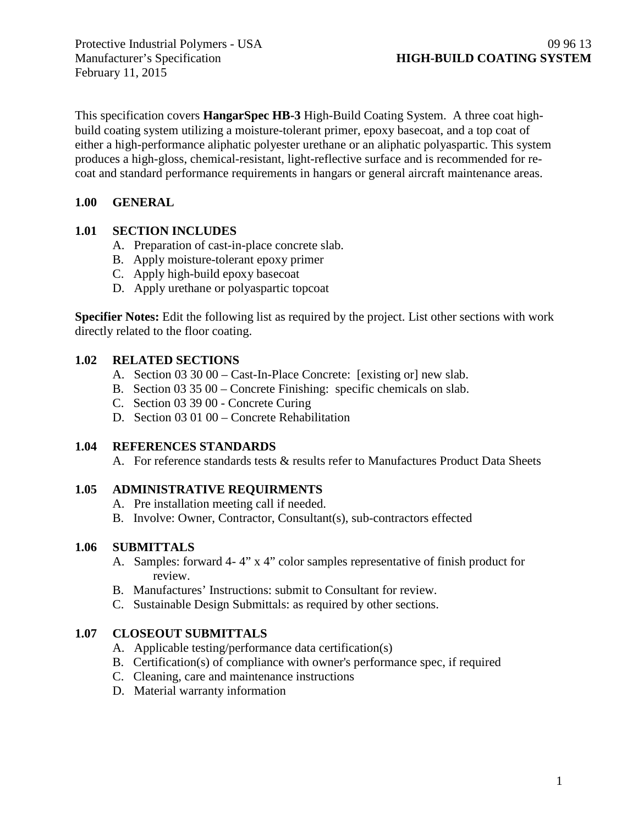February 11, 2015

This specification covers **HangarSpec HB-3** High-Build Coating System. A three coat highbuild coating system utilizing a moisture-tolerant primer, epoxy basecoat, and a top coat of either a high-performance aliphatic polyester urethane or an aliphatic polyaspartic. This system produces a high-gloss, chemical-resistant, light-reflective surface and is recommended for recoat and standard performance requirements in hangars or general aircraft maintenance areas.

## **1.00 GENERAL**

#### **1.01 SECTION INCLUDES**

- A. Preparation of cast-in-place concrete slab.
- B. Apply moisture-tolerant epoxy primer
- C. Apply high-build epoxy basecoat
- D. Apply urethane or polyaspartic topcoat

**Specifier Notes:** Edit the following list as required by the project. List other sections with work directly related to the floor coating.

#### **1.02 RELATED SECTIONS**

- A. Section 03 30 00 Cast-In-Place Concrete: [existing or] new slab.
- B. Section 03 35 00 Concrete Finishing: specific chemicals on slab.
- C. Section 03 39 00 Concrete Curing
- D. Section 03 01 00 Concrete Rehabilitation

## **1.04 REFERENCES STANDARDS**

A. For reference standards tests & results refer to Manufactures Product Data Sheets

## **1.05 ADMINISTRATIVE REQUIRMENTS**

- A. Pre installation meeting call if needed.
- B. Involve: Owner, Contractor, Consultant(s), sub-contractors effected

## **1.06 SUBMITTALS**

- A. Samples: forward 4- 4" x 4" color samples representative of finish product for review.
- B. Manufactures' Instructions: submit to Consultant for review.
- C. Sustainable Design Submittals: as required by other sections.

## **1.07 CLOSEOUT SUBMITTALS**

- A. Applicable testing/performance data certification(s)
- B. Certification(s) of compliance with owner's performance spec, if required
- C. Cleaning, care and maintenance instructions
- D. Material warranty information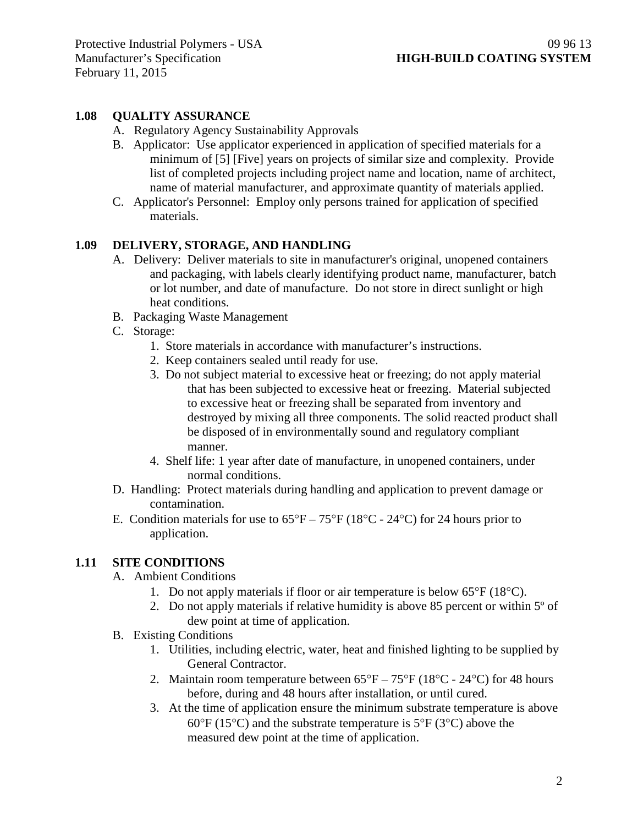# **1.08 QUALITY ASSURANCE**

- A. Regulatory Agency Sustainability Approvals
- B. Applicator: Use applicator experienced in application of specified materials for a minimum of [5] [Five] years on projects of similar size and complexity. Provide list of completed projects including project name and location, name of architect, name of material manufacturer, and approximate quantity of materials applied.
- C. Applicator's Personnel: Employ only persons trained for application of specified materials.

## **1.09 DELIVERY, STORAGE, AND HANDLING**

- A. Delivery: Deliver materials to site in manufacturer's original, unopened containers and packaging, with labels clearly identifying product name, manufacturer, batch or lot number, and date of manufacture. Do not store in direct sunlight or high heat conditions.
- B. Packaging Waste Management
- C. Storage:
	- 1. Store materials in accordance with manufacturer's instructions.
	- 2. Keep containers sealed until ready for use.
	- 3. Do not subject material to excessive heat or freezing; do not apply material that has been subjected to excessive heat or freezing. Material subjected to excessive heat or freezing shall be separated from inventory and destroyed by mixing all three components. The solid reacted product shall be disposed of in environmentally sound and regulatory compliant manner.
	- 4. Shelf life: 1 year after date of manufacture, in unopened containers, under normal conditions.
- D. Handling: Protect materials during handling and application to prevent damage or contamination.
- E. Condition materials for use to  $65^{\circ}F 75^{\circ}F (18^{\circ}C 24^{\circ}C)$  for 24 hours prior to application.

## **1.11 SITE CONDITIONS**

- A. Ambient Conditions
	- 1. Do not apply materials if floor or air temperature is below 65°F (18°C).
	- 2. Do not apply materials if relative humidity is above 85 percent or within 5º of dew point at time of application.
- B. Existing Conditions
	- 1. Utilities, including electric, water, heat and finished lighting to be supplied by General Contractor.
	- 2. Maintain room temperature between  $65^{\circ}F 75^{\circ}F (18^{\circ}C 24^{\circ}C)$  for 48 hours before, during and 48 hours after installation, or until cured.
	- 3. At the time of application ensure the minimum substrate temperature is above  $60^{\circ}$ F (15<sup>o</sup>C) and the substrate temperature is 5<sup>o</sup>F (3<sup>o</sup>C) above the measured dew point at the time of application.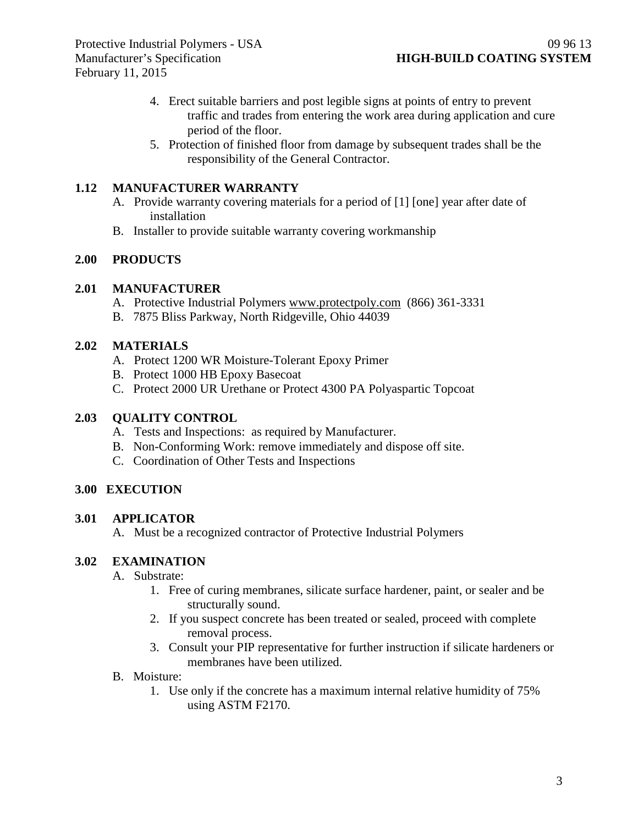- 4. Erect suitable barriers and post legible signs at points of entry to prevent traffic and trades from entering the work area during application and cure period of the floor.
- 5. Protection of finished floor from damage by subsequent trades shall be the responsibility of the General Contractor.

#### **1.12 MANUFACTURER WARRANTY**

- A. Provide warranty covering materials for a period of [1] [one] year after date of installation
- B. Installer to provide suitable warranty covering workmanship

#### **2.00 PRODUCTS**

#### **2.01 MANUFACTURER**

- A. Protective Industrial Polymers [www.protectpoly.com](http://www.protectpoly.com/) (866) 361-3331
- B. 7875 Bliss Parkway, North Ridgeville, Ohio 44039

#### **2.02 MATERIALS**

- A. Protect 1200 WR Moisture-Tolerant Epoxy Primer
- B. Protect 1000 HB Epoxy Basecoat
- C. Protect 2000 UR Urethane or Protect 4300 PA Polyaspartic Topcoat

#### **2.03 QUALITY CONTROL**

- A. Tests and Inspections: as required by Manufacturer.
- B. Non-Conforming Work: remove immediately and dispose off site.
- C. Coordination of Other Tests and Inspections

#### **3.00 EXECUTION**

#### **3.01 APPLICATOR**

A. Must be a recognized contractor of Protective Industrial Polymers

#### **3.02 EXAMINATION**

- A. Substrate:
	- 1. Free of curing membranes, silicate surface hardener, paint, or sealer and be structurally sound.
	- 2. If you suspect concrete has been treated or sealed, proceed with complete removal process.
	- 3. Consult your PIP representative for further instruction if silicate hardeners or membranes have been utilized.
- B. Moisture:
	- 1. Use only if the concrete has a maximum internal relative humidity of 75% using ASTM F2170.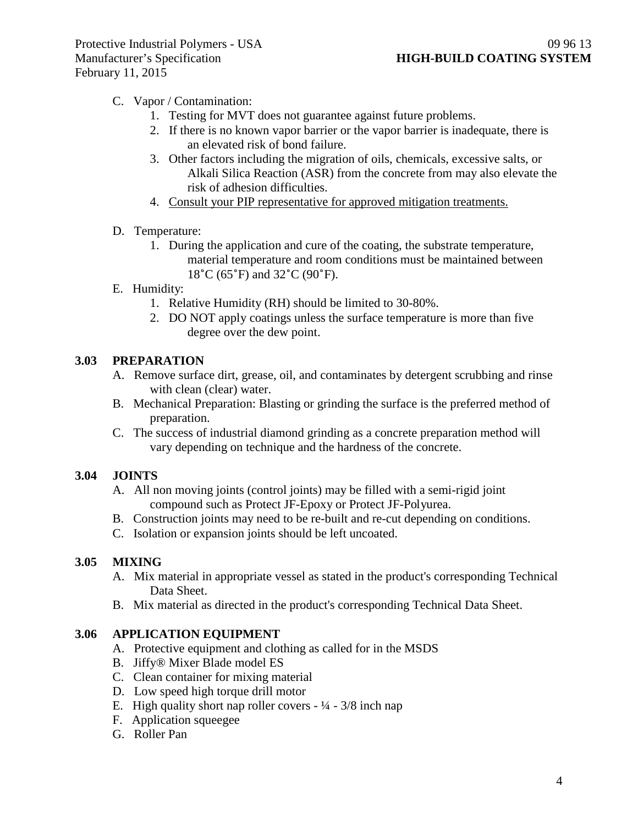# C. Vapor / Contamination:

- 1. Testing for MVT does not guarantee against future problems.
- 2. If there is no known vapor barrier or the vapor barrier is inadequate, there is an elevated risk of bond failure.
- 3. Other factors including the migration of oils, chemicals, excessive salts, or Alkali Silica Reaction (ASR) from the concrete from may also elevate the risk of adhesion difficulties.
- 4. Consult your PIP representative for approved mitigation treatments.

## D. Temperature:

1. During the application and cure of the coating, the substrate temperature, material temperature and room conditions must be maintained between 18˚C (65˚F) and 32˚C (90˚F).

## E. Humidity:

- 1. Relative Humidity (RH) should be limited to 30-80%.
- 2. DO NOT apply coatings unless the surface temperature is more than five degree over the dew point.

# **3.03 PREPARATION**

- A. Remove surface dirt, grease, oil, and contaminates by detergent scrubbing and rinse with clean (clear) water.
- B. Mechanical Preparation: Blasting or grinding the surface is the preferred method of preparation.
- C. The success of industrial diamond grinding as a concrete preparation method will vary depending on technique and the hardness of the concrete.

# **3.04 JOINTS**

- A. All non moving joints (control joints) may be filled with a semi-rigid joint compound such as Protect JF-Epoxy or Protect JF-Polyurea.
- B. Construction joints may need to be re-built and re-cut depending on conditions.
- C. Isolation or expansion joints should be left uncoated.

## **3.05 MIXING**

- A. Mix material in appropriate vessel as stated in the product's corresponding Technical Data Sheet.
- B. Mix material as directed in the product's corresponding Technical Data Sheet.

## **3.06 APPLICATION EQUIPMENT**

- A. Protective equipment and clothing as called for in the MSDS
- B. Jiffy® Mixer Blade model ES
- C. Clean container for mixing material
- D. Low speed high torque drill motor
- E. High quality short nap roller covers  $\frac{1}{4} \frac{3}{8}$  inch nap
- F. Application squeegee
- G. Roller Pan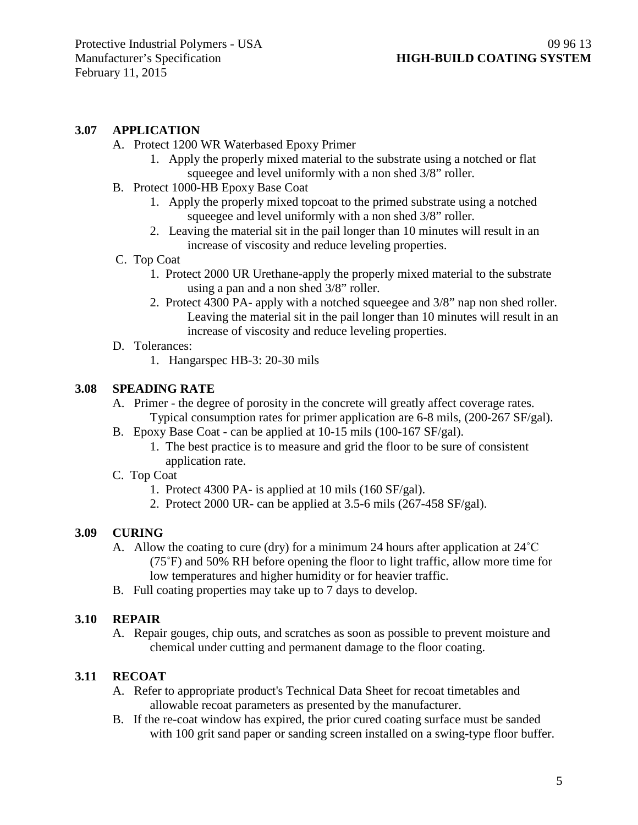#### **3.07 APPLICATION**

- A. Protect 1200 WR Waterbased Epoxy Primer
	- 1. Apply the properly mixed material to the substrate using a notched or flat squeegee and level uniformly with a non shed 3/8" roller.
- B. Protect 1000-HB Epoxy Base Coat
	- 1. Apply the properly mixed topcoat to the primed substrate using a notched squeegee and level uniformly with a non shed 3/8" roller.
	- 2. Leaving the material sit in the pail longer than 10 minutes will result in an increase of viscosity and reduce leveling properties.
- C. Top Coat
	- 1. Protect 2000 UR Urethane-apply the properly mixed material to the substrate using a pan and a non shed 3/8" roller.
	- 2. Protect 4300 PA- apply with a notched squeegee and 3/8" nap non shed roller. Leaving the material sit in the pail longer than 10 minutes will result in an increase of viscosity and reduce leveling properties.
- D. Tolerances:
	- 1. Hangarspec HB-3: 20-30 mils

#### **3.08 SPEADING RATE**

- A. Primer the degree of porosity in the concrete will greatly affect coverage rates. Typical consumption rates for primer application are 6-8 mils, (200-267 SF/gal).
- B. Epoxy Base Coat can be applied at 10-15 mils (100-167 SF/gal).
	- 1. The best practice is to measure and grid the floor to be sure of consistent application rate.
- C. Top Coat
	- 1. Protect 4300 PA- is applied at 10 mils (160 SF/gal).
	- 2. Protect 2000 UR- can be applied at 3.5-6 mils (267-458 SF/gal).

## **3.09 CURING**

- A. Allow the coating to cure (dry) for a minimum 24 hours after application at  $24^{\circ}$ C (75˚F) and 50% RH before opening the floor to light traffic, allow more time for low temperatures and higher humidity or for heavier traffic.
- B. Full coating properties may take up to 7 days to develop.

#### **3.10 REPAIR**

A. Repair gouges, chip outs, and scratches as soon as possible to prevent moisture and chemical under cutting and permanent damage to the floor coating.

## **3.11 RECOAT**

- A. Refer to appropriate product's Technical Data Sheet for recoat timetables and allowable recoat parameters as presented by the manufacturer.
- B. If the re-coat window has expired, the prior cured coating surface must be sanded with 100 grit sand paper or sanding screen installed on a swing-type floor buffer.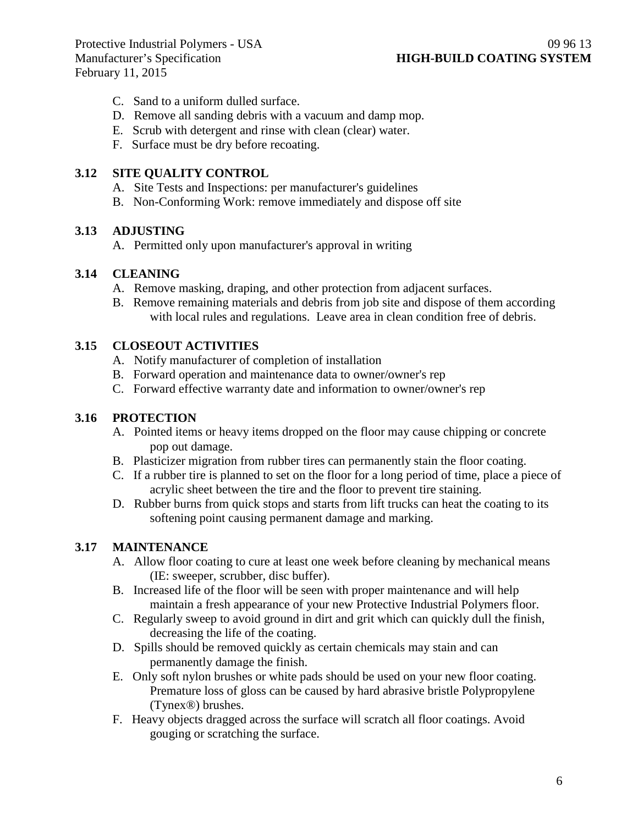February 11, 2015

- C. Sand to a uniform dulled surface.
- D. Remove all sanding debris with a vacuum and damp mop.
- E. Scrub with detergent and rinse with clean (clear) water.
- F. Surface must be dry before recoating.

#### **3.12 SITE QUALITY CONTROL**

- A. Site Tests and Inspections: per manufacturer's guidelines
- B. Non-Conforming Work: remove immediately and dispose off site

# **3.13 ADJUSTING**

A. Permitted only upon manufacturer's approval in writing

## **3.14 CLEANING**

- A. Remove masking, draping, and other protection from adjacent surfaces.
- B. Remove remaining materials and debris from job site and dispose of them according with local rules and regulations. Leave area in clean condition free of debris.

# **3.15 CLOSEOUT ACTIVITIES**

- A. Notify manufacturer of completion of installation
- B. Forward operation and maintenance data to owner/owner's rep
- C. Forward effective warranty date and information to owner/owner's rep

## **3.16 PROTECTION**

- A. Pointed items or heavy items dropped on the floor may cause chipping or concrete pop out damage.
- B. Plasticizer migration from rubber tires can permanently stain the floor coating.
- C. If a rubber tire is planned to set on the floor for a long period of time, place a piece of acrylic sheet between the tire and the floor to prevent tire staining.
- D. Rubber burns from quick stops and starts from lift trucks can heat the coating to its softening point causing permanent damage and marking.

# **3.17 MAINTENANCE**

- A. Allow floor coating to cure at least one week before cleaning by mechanical means (IE: sweeper, scrubber, disc buffer).
- B. Increased life of the floor will be seen with proper maintenance and will help maintain a fresh appearance of your new Protective Industrial Polymers floor.
- C. Regularly sweep to avoid ground in dirt and grit which can quickly dull the finish, decreasing the life of the coating.
- D. Spills should be removed quickly as certain chemicals may stain and can permanently damage the finish.
- E. Only soft nylon brushes or white pads should be used on your new floor coating. Premature loss of gloss can be caused by hard abrasive bristle Polypropylene (Tynex®) brushes.
- F. Heavy objects dragged across the surface will scratch all floor coatings. Avoid gouging or scratching the surface.